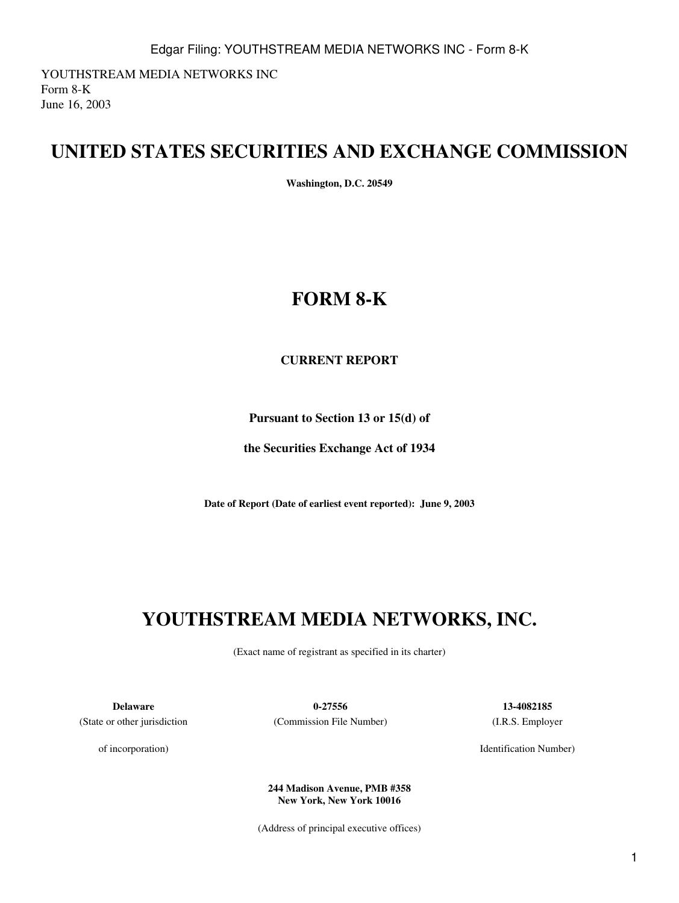YOUTHSTREAM MEDIA NETWORKS INC Form 8-K June 16, 2003

# **UNITED STATES SECURITIES AND EXCHANGE COMMISSION**

**Washington, D.C. 20549**

# **FORM 8-K**

### **CURRENT REPORT**

**Pursuant to Section 13 or 15(d) of**

**the Securities Exchange Act of 1934**

**Date of Report (Date of earliest event reported): June 9, 2003**

# **YOUTHSTREAM MEDIA NETWORKS, INC.**

(Exact name of registrant as specified in its charter)

(State or other jurisdiction

of incorporation)

**Delaware 0-27556 13-4082185** (Commission File Number) (I.R.S. Employer

Identification Number)

**244 Madison Avenue, PMB #358 New York, New York 10016**

(Address of principal executive offices)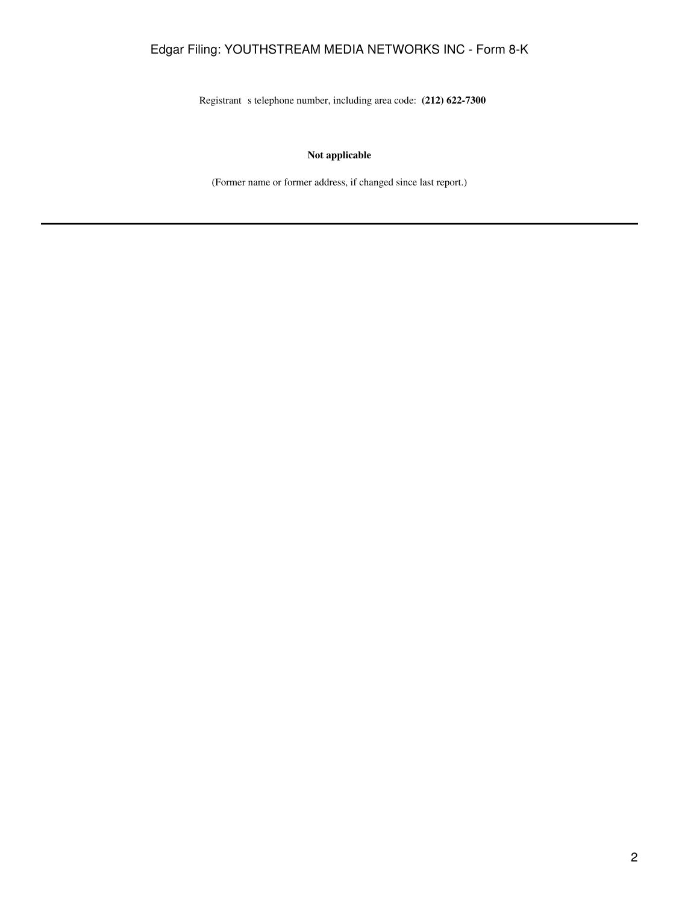## Edgar Filing: YOUTHSTREAM MEDIA NETWORKS INC - Form 8-K

Registrant s telephone number, including area code: **(212) 622-7300** 

#### **Not applicable**

(Former name or former address, if changed since last report.)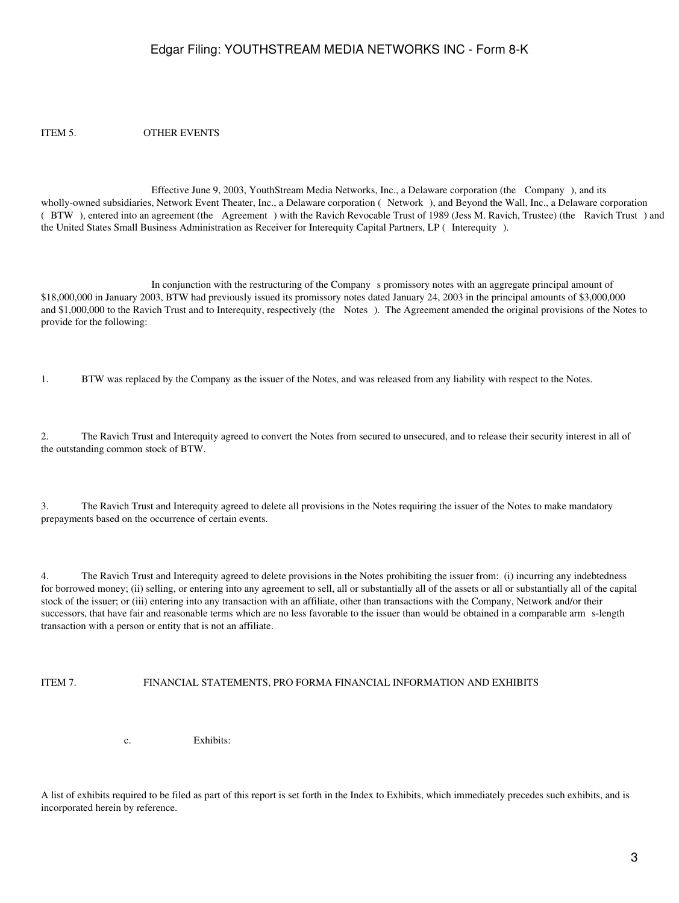### Edgar Filing: YOUTHSTREAM MEDIA NETWORKS INC - Form 8-K

ITEM 5. OTHER EVENTS

Effective June 9, 2003, YouthStream Media Networks, Inc., a Delaware corporation (the Company), and its wholly-owned subsidiaries, Network Event Theater, Inc., a Delaware corporation (Network), and Beyond the Wall, Inc., a Delaware corporation (BTW), entered into an agreement (the Agreement) with the Ravich Revocable Trust of 1989 (Jess M. Ravich, Trustee) (the Ravich Trust) and the United States Small Business Administration as Receiver for Interequity Capital Partners, LP (Interequity).

In conjunction with the restructuring of the Company s promissory notes with an aggregate principal amount of \$18,000,000 in January 2003, BTW had previously issued its promissory notes dated January 24, 2003 in the principal amounts of \$3,000,000 and \$1,000,000 to the Ravich Trust and to Interequity, respectively (the Notes). The Agreement amended the original provisions of the Notes to provide for the following:

1. BTW was replaced by the Company as the issuer of the Notes, and was released from any liability with respect to the Notes.

2. The Ravich Trust and Interequity agreed to convert the Notes from secured to unsecured, and to release their security interest in all of the outstanding common stock of BTW.

3. The Ravich Trust and Interequity agreed to delete all provisions in the Notes requiring the issuer of the Notes to make mandatory prepayments based on the occurrence of certain events.

4. The Ravich Trust and Interequity agreed to delete provisions in the Notes prohibiting the issuer from: (i) incurring any indebtedness for borrowed money; (ii) selling, or entering into any agreement to sell, all or substantially all of the assets or all or substantially all of the capital stock of the issuer; or (iii) entering into any transaction with an affiliate, other than transactions with the Company, Network and/or their successors, that have fair and reasonable terms which are no less favorable to the issuer than would be obtained in a comparable arms-length transaction with a person or entity that is not an affiliate.

#### ITEM 7. FINANCIAL STATEMENTS, PRO FORMA FINANCIAL INFORMATION AND EXHIBITS

c. Exhibits:

A list of exhibits required to be filed as part of this report is set forth in the Index to Exhibits, which immediately precedes such exhibits, and is incorporated herein by reference.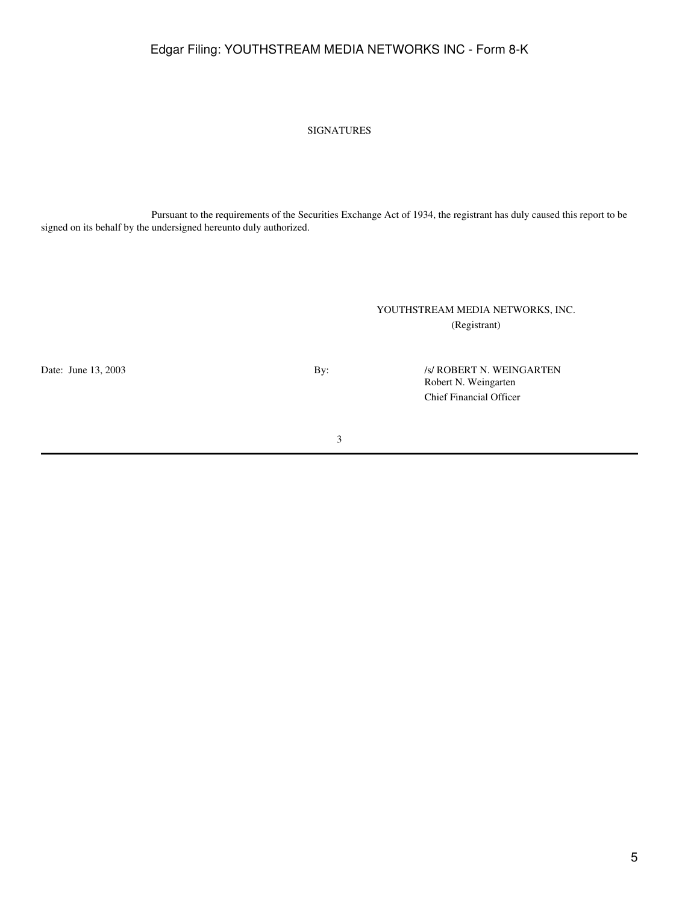## Edgar Filing: YOUTHSTREAM MEDIA NETWORKS INC - Form 8-K

#### SIGNATURES

Pursuant to the requirements of the Securities Exchange Act of 1934, the registrant has duly caused this report to be signed on its behalf by the undersigned hereunto duly authorized.

### YOUTHSTREAM MEDIA NETWORKS, INC. (Registrant)

Date: June 13, 2003 By: /s/ ROBERT N. WEINGARTEN Robert N. Weingarten Chief Financial Officer

3